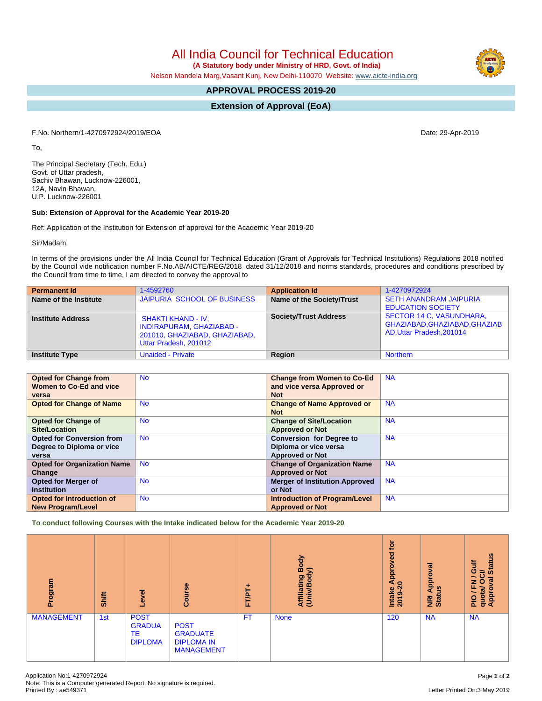All India Council for Technical Education

 **(A Statutory body under Ministry of HRD, Govt. of India)**

Nelson Mandela Marg,Vasant Kunj, New Delhi-110070 Website: [www.aicte-india.org](http://www.aicte-india.org)

## **APPROVAL PROCESS 2019-20**

**Extension of Approval (EoA)**

F.No. Northern/1-4270972924/2019/EOA Date: 29-Apr-2019

To,

The Principal Secretary (Tech. Edu.) Govt. of Uttar pradesh, Sachiv Bhawan, Lucknow-226001, 12A, Navin Bhawan, U.P. Lucknow-226001

## **Sub: Extension of Approval for the Academic Year 2019-20**

Ref: Application of the Institution for Extension of approval for the Academic Year 2019-20

Sir/Madam,

In terms of the provisions under the All India Council for Technical Education (Grant of Approvals for Technical Institutions) Regulations 2018 notified by the Council vide notification number F.No.AB/AICTE/REG/2018 dated 31/12/2018 and norms standards, procedures and conditions prescribed by the Council from time to time, I am directed to convey the approval to

| <b>Permanent Id</b>      | 1-4592760                                                                                                              | <b>Application Id</b>        | 1-4270972924                                                                                  |
|--------------------------|------------------------------------------------------------------------------------------------------------------------|------------------------------|-----------------------------------------------------------------------------------------------|
| Name of the Institute    | JAIPURIA SCHOOL OF BUSINESS                                                                                            | Name of the Society/Trust    | <b>SETH ANANDRAM JAIPURIA</b><br><b>EDUCATION SOCIETY</b>                                     |
| <b>Institute Address</b> | <b>SHAKTI KHAND - IV.</b><br><b>INDIRAPURAM, GHAZIABAD -</b><br>201010, GHAZIABAD, GHAZIABAD,<br>Uttar Pradesh, 201012 | <b>Society/Trust Address</b> | <b>SECTOR 14 C, VASUNDHARA,</b><br>GHAZIABAD, GHAZIABAD, GHAZIAB<br>AD, Uttar Pradesh, 201014 |
| <b>Institute Type</b>    | <b>Unaided - Private</b>                                                                                               | Region                       | <b>Northern</b>                                                                               |

| <b>Opted for Change from</b>       | <b>No</b> | <b>Change from Women to Co-Ed</b>     | <b>NA</b> |
|------------------------------------|-----------|---------------------------------------|-----------|
| Women to Co-Ed and vice            |           | and vice versa Approved or            |           |
| versa                              |           | <b>Not</b>                            |           |
| <b>Opted for Change of Name</b>    | <b>No</b> | <b>Change of Name Approved or</b>     | <b>NA</b> |
|                                    |           | <b>Not</b>                            |           |
| <b>Opted for Change of</b>         | <b>No</b> | <b>Change of Site/Location</b>        | <b>NA</b> |
| Site/Location                      |           | <b>Approved or Not</b>                |           |
| <b>Opted for Conversion from</b>   | <b>No</b> | <b>Conversion for Degree to</b>       | <b>NA</b> |
| Degree to Diploma or vice          |           | Diploma or vice versa                 |           |
| versa                              |           | <b>Approved or Not</b>                |           |
| <b>Opted for Organization Name</b> | <b>No</b> | <b>Change of Organization Name</b>    | <b>NA</b> |
| Change                             |           | <b>Approved or Not</b>                |           |
| <b>Opted for Merger of</b>         | <b>No</b> | <b>Merger of Institution Approved</b> | <b>NA</b> |
| <b>Institution</b>                 |           | or Not                                |           |
| <b>Opted for Introduction of</b>   | <b>No</b> | <b>Introduction of Program/Level</b>  | <b>NA</b> |
| <b>New Program/Level</b>           |           | <b>Approved or Not</b>                |           |

**To conduct following Courses with the Intake indicated below for the Academic Year 2019-20**

| Program           | Shift | Level                                                | Course                                                                   | FT/PT+    | Body<br>≲<br>Affiliating<br>(Univ/Body | <b>jo</b><br>Approved<br>$\circ$<br>Intake<br>2019 | Approval<br>$\boldsymbol{w}$<br><b>E</b> ä | <b>Status</b><br>₹<br>O<br>లె<br>∽<br>ಸ<br>о<br>z<br>щ<br>quota/<br>Approv<br><b>DId</b> |
|-------------------|-------|------------------------------------------------------|--------------------------------------------------------------------------|-----------|----------------------------------------|----------------------------------------------------|--------------------------------------------|------------------------------------------------------------------------------------------|
| <b>MANAGEMENT</b> | 1st   | <b>POST</b><br><b>GRADUA</b><br>TE<br><b>DIPLOMA</b> | <b>POST</b><br><b>GRADUATE</b><br><b>DIPLOMA IN</b><br><b>MANAGEMENT</b> | <b>FT</b> | <b>None</b>                            | 120                                                | <b>NA</b>                                  | <b>NA</b>                                                                                |